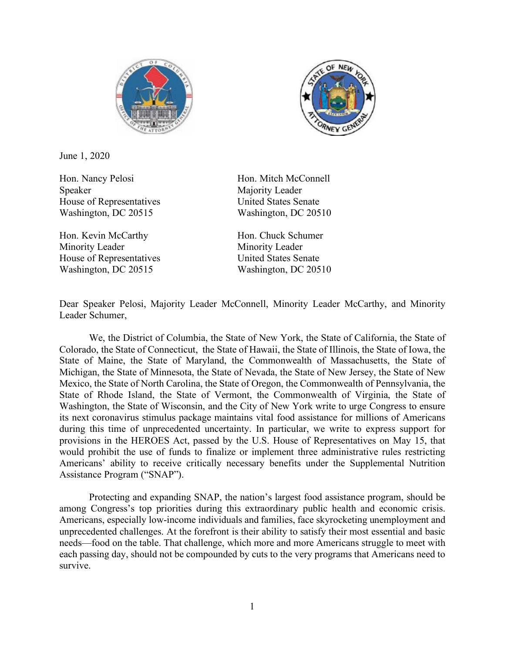



June 1, 2020

Hon. Nancy Pelosi Hon. Mitch McConnell Speaker Majority Leader House of Representatives United States Senate Washington, DC 20515 Washington, DC 20510

Hon. Kevin McCarthy Hon. Chuck Schumer Minority Leader Minority Leader House of Representatives United States Senate Washington, DC 20515 Washington, DC 20510

Dear Speaker Pelosi, Majority Leader McConnell, Minority Leader McCarthy, and Minority Leader Schumer,

We, the District of Columbia, the State of New York, the State of California, the State of Colorado, the State of Connecticut, the State of Hawaii, the State of Illinois, the State of Iowa, the State of Maine, the State of Maryland, the Commonwealth of Massachusetts, the State of Michigan, the State of Minnesota, the State of Nevada, the State of New Jersey, the State of New Mexico, the State of North Carolina, the State of Oregon, the Commonwealth of Pennsylvania, the State of Rhode Island, the State of Vermont, the Commonwealth of Virginia, the State of Washington, the State of Wisconsin, and the City of New York write to urge Congress to ensure its next coronavirus stimulus package maintains vital food assistance for millions of Americans during this time of unprecedented uncertainty. In particular, we write to express support for provisions in the HEROES Act, passed by the U.S. House of Representatives on May 15, that would prohibit the use of funds to finalize or implement three administrative rules restricting Americans' ability to receive critically necessary benefits under the Supplemental Nutrition Assistance Program ("SNAP").

Protecting and expanding SNAP, the nation's largest food assistance program, should be among Congress's top priorities during this extraordinary public health and economic crisis. Americans, especially low-income individuals and families, face skyrocketing unemployment and unprecedented challenges. At the forefront is their ability to satisfy their most essential and basic needs—food on the table. That challenge, which more and more Americans struggle to meet with each passing day, should not be compounded by cuts to the very programs that Americans need to survive.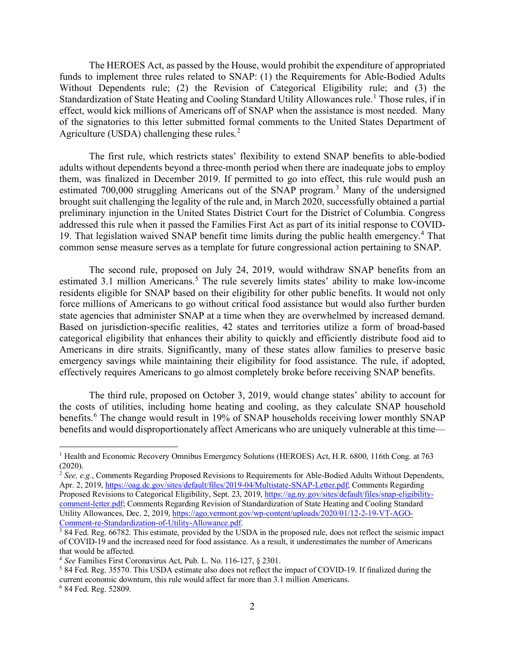The HEROES Act, as passed by the House, would prohibit the expenditure of appropriated funds to implement three rules related to SNAP: (1) the Requirements for Able-Bodied Adults Without Dependents rule; (2) the Revision of Categorical Eligibility rule; and (3) the Standardization of State Heating and Cooling Standard Utility Allowances rule.<sup>[1](#page-1-0)</sup> Those rules, if in effect, would kick millions of Americans off of SNAP when the assistance is most needed. Many of the signatories to this letter submitted formal comments to the United States Department of Agriculture (USDA) challenging these rules. $<sup>2</sup>$  $<sup>2</sup>$  $<sup>2</sup>$ </sup>

The first rule, which restricts states' flexibility to extend SNAP benefits to able-bodied adults without dependents beyond a three-month period when there are inadequate jobs to employ them, was finalized in December 2019. If permitted to go into effect, this rule would push an estimated 700,000 struggling Americans out of the SNAP program.<sup>[3](#page-1-2)</sup> Many of the undersigned brought suit challenging the legality of the rule and, in March 2020, successfully obtained a partial preliminary injunction in the United States District Court for the District of Columbia. Congress addressed this rule when it passed the Families First Act as part of its initial response to COVID-19. That legislation waived SNAP benefit time limits during the public health emergency.[4](#page-1-3) That common sense measure serves as a template for future congressional action pertaining to SNAP.

The second rule, proposed on July 24, 2019, would withdraw SNAP benefits from an estimated 3.1 million Americans.<sup>[5](#page-1-4)</sup> The rule severely limits states' ability to make low-income residents eligible for SNAP based on their eligibility for other public benefits. It would not only force millions of Americans to go without critical food assistance but would also further burden state agencies that administer SNAP at a time when they are overwhelmed by increased demand. Based on jurisdiction-specific realities, 42 states and territories utilize a form of broad-based categorical eligibility that enhances their ability to quickly and efficiently distribute food aid to Americans in dire straits. Significantly, many of these states allow families to preserve basic emergency savings while maintaining their eligibility for food assistance. The rule, if adopted, effectively requires Americans to go almost completely broke before receiving SNAP benefits.

The third rule, proposed on October 3, 2019, would change states' ability to account for the costs of utilities, including home heating and cooling, as they calculate SNAP household benefits.<sup>[6](#page-1-5)</sup> The change would result in 19% of SNAP households receiving lower monthly SNAP benefits and would disproportionately affect Americans who are uniquely vulnerable at this time—

<span id="page-1-0"></span><sup>1</sup> Health and Economic Recovery Omnibus Emergency Solutions (HEROES) Act, H.R. 6800, 116th Cong. at 763 (2020).

<span id="page-1-1"></span><sup>2</sup> *See, e.g.*, Comments Regarding Proposed Revisions to Requirements for Able-Bodied Adults Without Dependents, Apr. 2, 2019[, https://oag.dc.gov/sites/default/files/2019-04/Multistate-SNAP-Letter.pdf;](https://oag.dc.gov/sites/default/files/2019-04/Multistate-SNAP-Letter.pdf) Comments Regarding Proposed Revisions to Categorical Eligibility, Sept. 23, 2019, [https://ag.ny.gov/sites/default/files/snap-eligibility](https://ag.ny.gov/sites/default/files/snap-eligibility-comment-letter.pdf)[comment-letter.pdf;](https://ag.ny.gov/sites/default/files/snap-eligibility-comment-letter.pdf) Comments Regarding Revision of Standardization of State Heating and Cooling Standard Utility Allowances, Dec. 2, 2019, [https://ago.vermont.gov/wp-content/uploads/2020/01/12-2-19-VT-AGO-](https://ago.vermont.gov/wp-content/uploads/2020/01/12-2-19-VT-AGO-Comment-re-Standardization-of-Utility-Allowance.pdf)[Comment-re-Standardization-of-Utility-Allowance.pdf.](https://ago.vermont.gov/wp-content/uploads/2020/01/12-2-19-VT-AGO-Comment-re-Standardization-of-Utility-Allowance.pdf)

<span id="page-1-2"></span> $3$  84 Fed. Reg. 66782. This estimate, provided by the USDA in the proposed rule, does not reflect the seismic impact of COVID-19 and the increased need for food assistance. As a result, it underestimates the number of Americans that would be affected.

<span id="page-1-3"></span><sup>4</sup> *See* Families First Coronavirus Act, Pub. L. No. 116-127, § 2301.

<span id="page-1-4"></span><sup>5</sup> 84 Fed. Reg. 35570. This USDA estimate also does not reflect the impact of COVID-19. If finalized during the current economic downturn, this rule would affect far more than 3.1 million Americans.

<span id="page-1-5"></span><sup>6</sup> 84 Fed. Reg. 52809.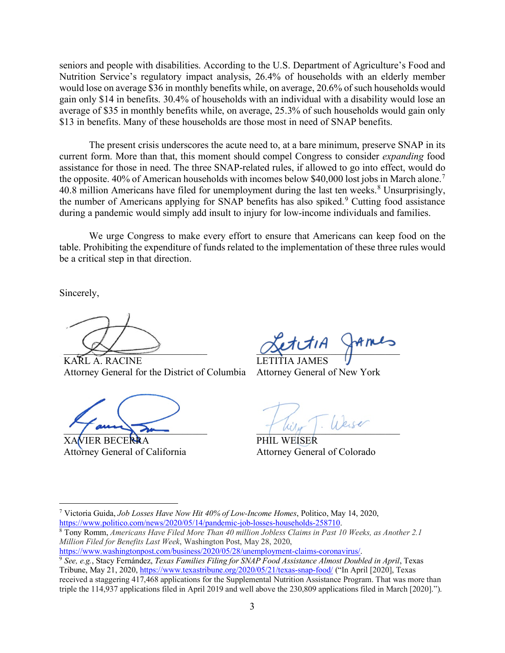seniors and people with disabilities. According to the U.S. Department of Agriculture's Food and Nutrition Service's regulatory impact analysis, 26.4% of households with an elderly member would lose on average \$36 in monthly benefits while, on average, 20.6% of such households would gain only \$14 in benefits. 30.4% of households with an individual with a disability would lose an average of \$35 in monthly benefits while, on average, 25.3% of such households would gain only \$13 in benefits. Many of these households are those most in need of SNAP benefits.

The present crisis underscores the acute need to, at a bare minimum, preserve SNAP in its current form. More than that, this moment should compel Congress to consider *expanding* food assistance for those in need. The three SNAP-related rules, if allowed to go into effect, would do the opposite. 40% of American households with incomes below \$40,000 lost jobs in March alone.<sup>[7](#page-2-0)</sup> 40.[8](#page-2-1) million Americans have filed for unemployment during the last ten weeks.<sup>8</sup> Unsurprisingly, the number of Americans applying for SNAP benefits has also spiked.<sup>[9](#page-2-2)</sup> Cutting food assistance during a pandemic would simply add insult to injury for low-income individuals and families.

We urge Congress to make every effort to ensure that Americans can keep food on the table. Prohibiting the expenditure of funds related to the implementation of these three rules would be a critical step in that direction.

Sincerely,

 $\rightarrow$ 

KARL A. RACINE Attorney General for the District of Columbia

 $\overline{\phantom{a}}$ 

XAVIER BECERRA Attorney General of California

 $Q^{\alpha}$ 

LETITIA JAMES Attorney General of New York

 $7 \omega_{\text{up}}$  .  $\omega_{\text{up}}$ 

PHIL WEISER Attorney General of Colorado

<span id="page-2-0"></span><sup>7</sup> Victoria Guida, *Job Losses Have Now Hit 40% of Low-Income Homes*, Politico, May 14, 2020, [https://www.politico.com/news/2020/05/14/pandemic-job-losses-households-258710.](https://www.politico.com/news/2020/05/14/pandemic-job-losses-households-258710)

<span id="page-2-1"></span><sup>8</sup> Tony Romm, *Americans Have Filed More Than 40 million Jobless Claims in Past 10 Weeks, as Another 2.1 Million Filed for Benefits Last Week*, Washington Post, May 28, 2020,

[https://www.washingtonpost.com/business/2020/05/28/unemployment-claims-coronavirus/.](https://www.washingtonpost.com/business/2020/05/28/unemployment-claims-coronavirus/)

<span id="page-2-2"></span><sup>9</sup> *See, e.g.*, Stacy Fernández, *Texas Families Filing for SNAP Food Assistance Almost Doubled in April*, Texas Tribune, May 21, 2020, <https://www.texastribune.org/2020/05/21/texas-snap-food/> ("In April [2020], Texas received a staggering 417,468 applications for the Supplemental Nutrition Assistance Program. That was more than triple the 114,937 applications filed in April 2019 and well above the 230,809 applications filed in March [2020].").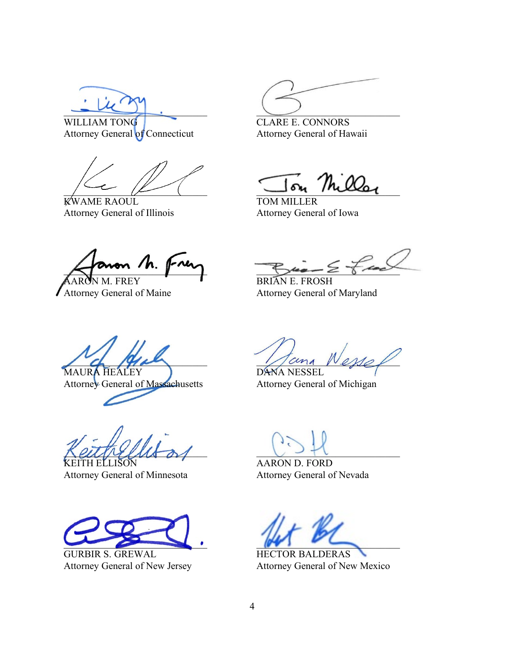$\overline{\phantom{a}}$ WILLIAM TONG

Attorney General of Connecticut

 $\mu$ 

KWAME RAOUL Attorney General of Illinois

 $\cup$ 

CLARE E. CONNORS Attorney General of Hawaii

 $\Gamma$ on Mills

TOM MILLER Attorney General of Iowa

 $\Lambda$ . **FREY** 

Attorney General of Maine

 $z \sim 1$ 

BRIAN E. FROSH Attorney General of Maryland

 $\angle$  de 14 de MAURA HEALEY

Attorney General of Massachusetts

 $KellMellM$ 

'H ELLISON Attorney General of Minnesota

 $\overline{\phantom{a}}$ 

GURBIR S. GREWAL Attorney General of New Jersey

 $Name$ DANA NESSEL

Attorney General of Michigan

 $\cup$   $\rightarrow$   $\uparrow$   $\cup$ 

AARON D. FORD Attorney General of Nevada

 $\sim$ 

HECTOR BALDERAS Attorney General of New Mexico